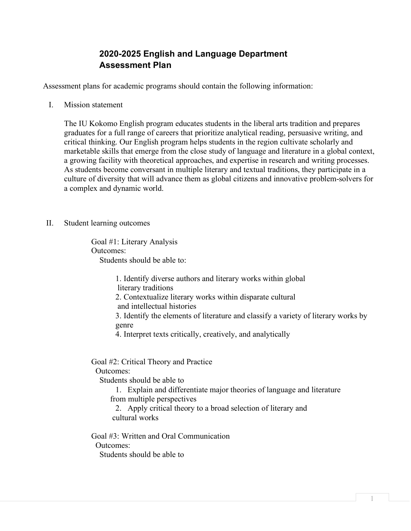## **2020-2025 English and Language Department Assessment Plan**

Assessment plans for academic programs should contain the following information:

I. Mission statement

The IU Kokomo English program educates students in the liberal arts tradition and prepares graduates for a full range of careers that prioritize analytical reading, persuasive writing, and critical thinking. Our English program helps students in the region cultivate scholarly and marketable skills that emerge from the close study of language and literature in a global context, a growing facility with theoretical approaches, and expertise in research and writing processes. As students become conversant in multiple literary and textual traditions, they participate in a culture of diversity that will advance them as global citizens and innovative problem-solvers for a complex and dynamic world.

II. Student learning outcomes

Goal #1: Literary Analysis Outcomes: Students should be able to:

> 1. Identify diverse authors and literary works within global literary traditions 2. Contextualize literary works within disparate cultural and intellectual histories 3. Identify the elements of literature and classify a variety of literary works by genre 4. Interpret texts critically, creatively, and analytically

Goal #2: Critical Theory and Practice

Outcomes:

Students should be able to

1. Explain and differentiate major theories of language and literature

from multiple perspectives

2. Apply critical theory to a broad selection of literary and cultural works

Goal #3: Written and Oral Communication Outcomes: Students should be able to